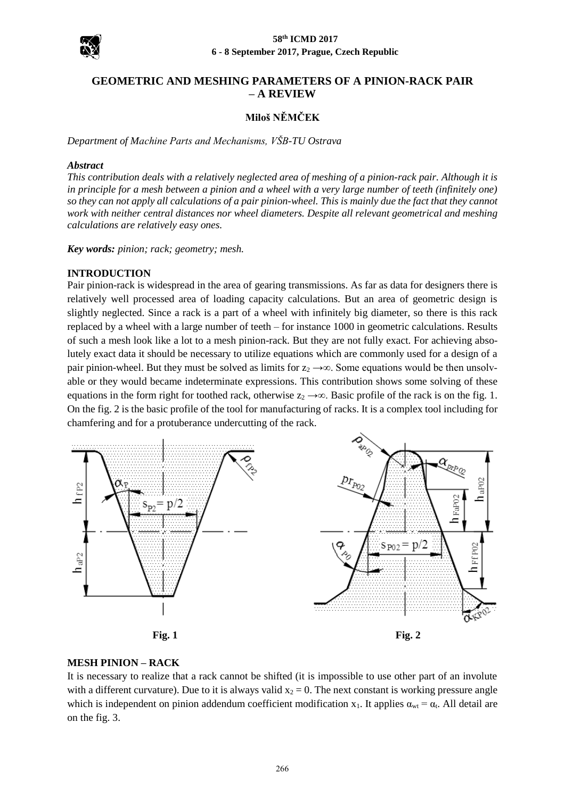

# **GEOMETRIC AND MESHING PARAMETERS OF A PINION-RACK PAIR – A REVIEW**

# **Miloš NĚMČEK**

*Department of Machine Parts and Mechanisms, VŠB-TU Ostrava*

#### *Abstract*

*This contribution deals with a relatively neglected area of meshing of a pinion-rack pair. Although it is in principle for a mesh between a pinion and a wheel with a very large number of teeth (infinitely one) so they can not apply all calculations of a pair pinion-wheel. This is mainly due the fact that they cannot work with neither central distances nor wheel diameters. Despite all relevant geometrical and meshing calculations are relatively easy ones.*

*Key words: pinion; rack; geometry; mesh.*

# **INTRODUCTION**

Pair pinion-rack is widespread in the area of gearing transmissions. As far as data for designers there is relatively well processed area of loading capacity calculations. But an area of geometric design is slightly neglected. Since a rack is a part of a wheel with infinitely big diameter, so there is this rack replaced by a wheel with a large number of teeth – for instance 1000 in geometric calculations. Results of such a mesh look like a lot to a mesh pinion-rack. But they are not fully exact. For achieving absolutely exact data it should be necessary to utilize equations which are commonly used for a design of a pair pinion-wheel. But they must be solved as limits for  $z_2 \rightarrow \infty$ . Some equations would be then unsolvable or they would became indeterminate expressions. This contribution shows some solving of these equations in the form right for toothed rack, otherwise  $z_2 \rightarrow \infty$ . Basic profile of the rack is on the fig. 1. On the fig. 2 is the basic profile of the tool for manufacturing of racks. It is a complex tool including for chamfering and for a protuberance undercutting of the rack.





# **MESH PINION – RACK**

It is necessary to realize that a rack cannot be shifted (it is impossible to use other part of an involute with a different curvature). Due to it is always valid  $x_2 = 0$ . The next constant is working pressure angle which is independent on pinion addendum coefficient modification x<sub>1</sub>. It applies  $\alpha_{wt} = \alpha_t$ . All detail are on the fig. 3.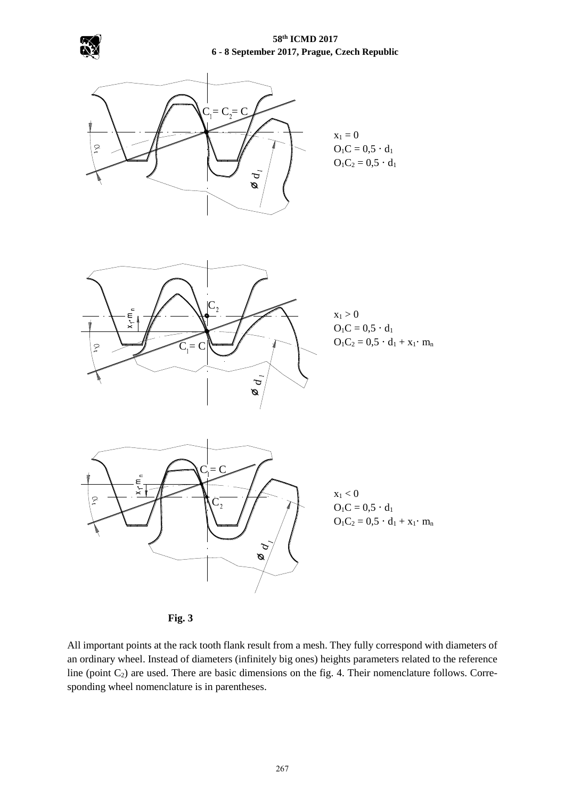



**Fig. 3**

All important points at the rack tooth flank result from a mesh. They fully correspond with diameters of an ordinary wheel. Instead of diameters (infinitely big ones) heights parameters related to the reference line (point  $C_2$ ) are used. There are basic dimensions on the fig. 4. Their nomenclature follows. Corresponding wheel nomenclature is in parentheses.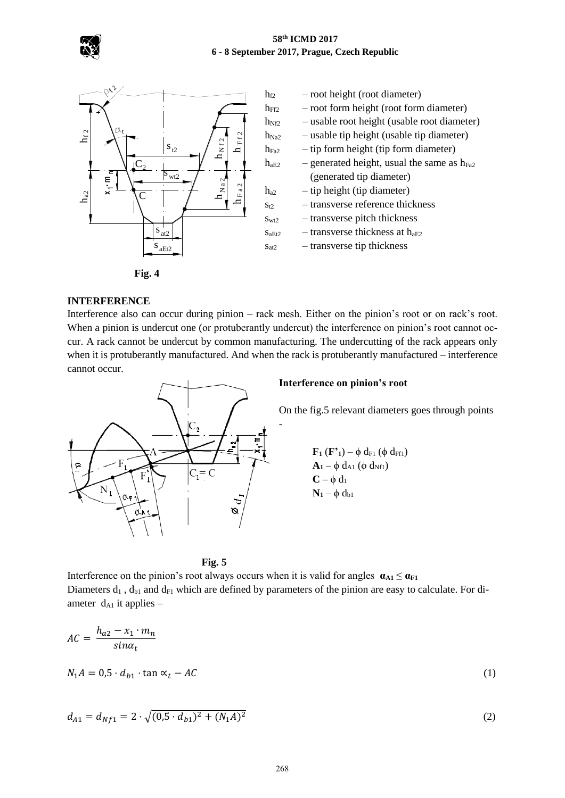



**Fig. 4**

#### **INTERFERENCE**

Interference also can occur during pinion – rack mesh. Either on the pinion's root or on rack's root. When a pinion is undercut one (or protuberantly undercut) the interference on pinion's root cannot occur. A rack cannot be undercut by common manufacturing. The undercutting of the rack appears only when it is protuberantly manufactured. And when the rack is protuberantly manufactured – interference cannot occur.

-



#### **Interference on pinion's root**

On the fig.5 relevant diameters goes through points

$$
F_1 (F') - \phi d_{F1} (\phi d_{F1})
$$
  
\n
$$
A_1 - \phi d_{A1} (\phi d_{Nf1})
$$
  
\n
$$
C - \phi d_1
$$
  
\n
$$
N_1 - \phi d_{b1}
$$



Interference on the pinion's root always occurs when it is valid for angles  $\mathbf{a}_{A1} \leq \mathbf{a}_{F1}$ Diameters  $d_1$ ,  $d_{b1}$  and  $d_{F1}$  which are defined by parameters of the pinion are easy to calculate. For diameter  $d_{A1}$  it applies –

$$
AC = \frac{h_{a2} - x_1 \cdot m_n}{\sin \alpha_t}
$$
  

$$
N_1 A = 0.5 \cdot d_{b1} \cdot \tan \alpha_t - AC
$$
 (1)

$$
d_{A1} = d_{Nf1} = 2 \cdot \sqrt{(0.5 \cdot d_{b1})^2 + (N_1 A)^2}
$$
 (2)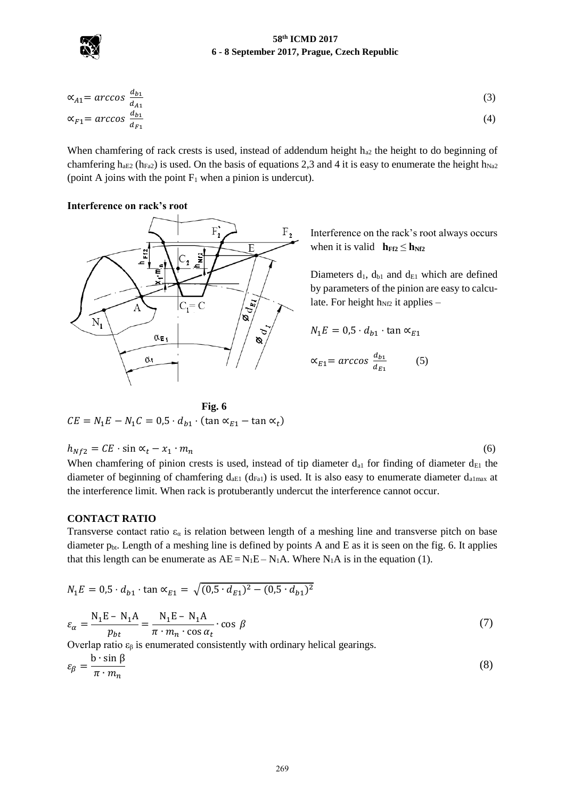

$$
\alpha_{A1} = \arccos \frac{d_{b1}}{d_{A1}}\n\tag{3}
$$
\n
$$
\alpha_{F1} = \arccos \frac{d_{b1}}{d_{F1}}\n\tag{4}
$$

When chamfering of rack crests is used, instead of addendum height  $h_{a2}$  the height to do beginning of chamfering h<sub>aE2</sub> (h<sub>Fa2</sub>) is used. On the basis of equations 2,3 and 4 it is easy to enumerate the height h<sub>Na2</sub> (point A joins with the point  $F_1$  when a pinion is undercut).

# **Interference on rack's root**



Interference on the rack's root always occurs when it is valid  $h_{FF2} \leq h_{NT2}$ 

Diameters  $d_1$ ,  $d_{b1}$  and  $d_{E1}$  which are defined by parameters of the pinion are easy to calculate. For height  $h_{Nf2}$  it applies –

$$
N_1 E = 0.5 \cdot d_{b1} \cdot \tan \alpha_{E1}
$$
  

$$
\alpha_{E1} = \arccos \frac{d_{b1}}{d_{E1}}
$$
 (5)

Fig. 6  
\n
$$
CE = N_1E - N_1C = 0.5 \cdot d_{b1} \cdot (\tan \alpha_{E1} - \tan \alpha_t)
$$

$$
h_{Nf2} = CE \cdot \sin \alpha_t - x_1 \cdot m_n \tag{6}
$$

When chamfering of pinion crests is used, instead of tip diameter  $d_{a1}$  for finding of diameter  $d_{E1}$  the diameter of beginning of chamfering  $d_{aE1}$  ( $d_{Fa1}$ ) is used. It is also easy to enumerate diameter  $d_{a1max}$  at the interference limit. When rack is protuberantly undercut the interference cannot occur.

#### **CONTACT RATIO**

Transverse contact ratio  $\varepsilon_{\alpha}$  is relation between length of a meshing line and transverse pitch on base diameter  $p_{bt}$ . Length of a meshing line is defined by points A and E as it is seen on the fig. 6. It applies that this length can be enumerate as  $AE = N_1E - N_1A$ . Where  $N_1A$  is in the equation (1).

$$
N_1 E = 0.5 \cdot d_{b1} \cdot \tan \alpha_{E1} = \sqrt{(0.5 \cdot d_{E1})^2 - (0.5 \cdot d_{b1})^2}
$$
  

$$
\varepsilon_{\alpha} = \frac{N_1 E - N_1 A}{p_{bt}} = \frac{N_1 E - N_1 A}{\pi \cdot m_n \cdot \cos \alpha_t} \cdot \cos \beta
$$
 (7)

Overlap ratio  $ε<sub>β</sub>$  is enumerated consistently with ordinary helical gearings.

$$
\varepsilon_{\beta} = \frac{\mathbf{b} \cdot \sin \beta}{\pi \cdot m_n} \tag{8}
$$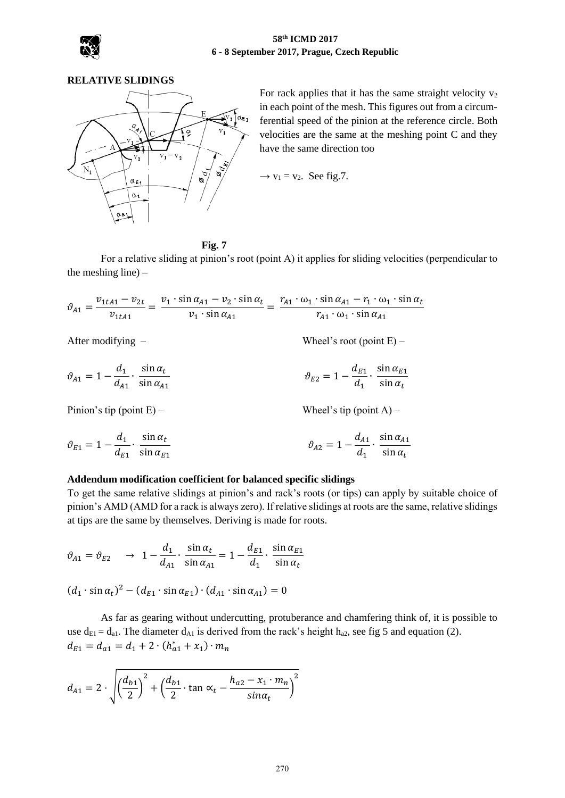

# **RELATIVE SLIDINGS**



For rack applies that it has the same straight velocity  $v_2$ in each point of the mesh. This figures out from a circumferential speed of the pinion at the reference circle. Both velocities are the same at the meshing point C and they have the same direction too

$$
\rightarrow
$$
 v<sub>1</sub> = v<sub>2</sub>. See fig.7.

#### **Fig. 7**

For a relative sliding at pinion's root (point A) it applies for sliding velocities (perpendicular to the meshing line) –

 $\vartheta_{A1} =$  $v_{1tA1} - v_{2t}$  $\frac{u_{A1} - v_{2t}}{v_{1tA1}} = \frac{v_1 \cdot \sin \alpha_{A1} - v_2 \cdot \sin \alpha_t}{v_1 \cdot \sin \alpha_{A1}}$  $rac{d_1 \alpha_{A1} - v_2 \cdot \sin \alpha_t}{v_1 \cdot \sin \alpha_{A1}} = \frac{r_{A1} \cdot \omega_1 \cdot \sin \alpha_{A1} - r_1 \cdot \omega_1 \cdot \sin \alpha_t}{r_{A1} \cdot \omega_1 \cdot \sin \alpha_{A1}}$  $r_{A1} \cdot \omega_1 \cdot \sin \alpha_{A1}$ 

After modifying – Wheel's root (point E) –

$$
\vartheta_{A1} = 1 - \frac{d_1}{d_{A1}} \cdot \frac{\sin \alpha_t}{\sin \alpha_{A1}} \qquad \qquad \vartheta_{E2} = 1 - \frac{d_{E1}}{d_1} \cdot \frac{\sin \alpha_{E1}}{\sin \alpha_t}
$$

Pinion's tip (point  $E$ ) – Wheel's tip (point A) –

$$
\vartheta_{E1} = 1 - \frac{d_1}{d_{E1}} \cdot \frac{\sin \alpha_t}{\sin \alpha_{E1}} \qquad \qquad \vartheta_{A2} = 1 - \frac{d_{A1}}{d_1} \cdot \frac{\sin \alpha_{A1}}{\sin \alpha_t}
$$

#### **Addendum modification coefficient for balanced specific slidings**

To get the same relative slidings at pinion's and rack's roots (or tips) can apply by suitable choice of pinion's AMD (AMD for a rack is always zero). If relative slidings at roots are the same, relative slidings at tips are the same by themselves. Deriving is made for roots.

$$
\vartheta_{A1} = \vartheta_{E2} \quad \to \quad 1 - \frac{d_1}{d_{A1}} \cdot \frac{\sin \alpha_t}{\sin \alpha_{A1}} = 1 - \frac{d_{E1}}{d_1} \cdot \frac{\sin \alpha_{E1}}{\sin \alpha_t}
$$

$$
(d_1 \cdot \sin \alpha_t)^2 - (d_{E1} \cdot \sin \alpha_{E1}) \cdot (d_{A1} \cdot \sin \alpha_{A1}) = 0
$$

As far as gearing without undercutting, protuberance and chamfering think of, it is possible to use  $d_{E1} = d_{a1}$ . The diameter  $d_{A1}$  is derived from the rack's height  $h_{a2}$ , see fig 5 and equation (2).  $d_{E1} = d_{a1} = d_1 + 2 \cdot (h_{a1}^* + x_1) \cdot m_n$ 

$$
d_{A1} = 2 \cdot \sqrt{\left(\frac{d_{b1}}{2}\right)^2 + \left(\frac{d_{b1}}{2} \cdot \tan \alpha_t - \frac{h_{a2} - x_1 \cdot m_n}{\sin \alpha_t}\right)^2}
$$